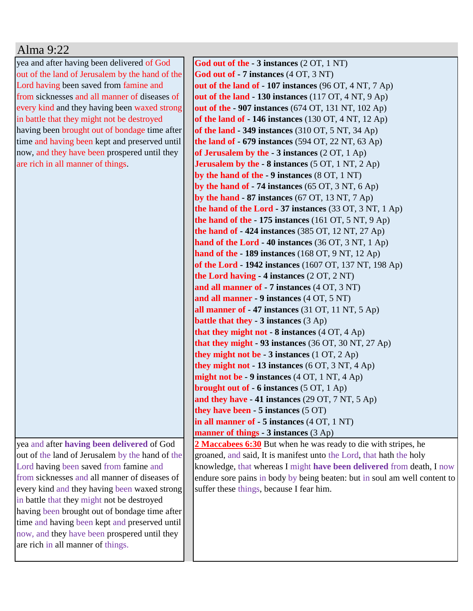## Alma 9:22

yea and after having been delivered of God out of the land of Jerusalem by the hand of the Lord having been saved from famine and from sicknesses and all manner of diseases of every kind and they having been waxed strong in battle that they might not be destroyed having been brought out of bondage time after time and having been kept and preserved until now, and they have been prospered until they are rich in all manner of things.

yea and after **having been delivered** of God out of the land of Jerusalem by the hand of the Lord having been saved from famine and from sicknesses and all manner of diseases of every kind and they having been waxed strong in battle that they might not be destroyed having been brought out of bondage time after time and having been kept and preserved until now, and they have been prospered until they are rich in all manner of things.

**God out of the - 3 instances** (2 OT, 1 NT) **God out of - 7 instances** (4 OT, 3 NT) **out of the land of - 107 instances** (96 OT, 4 NT, 7 Ap) **out of the land - 130 instances** (117 OT, 4 NT, 9 Ap) **out of the - 907 instances** (674 OT, 131 NT, 102 Ap) **of the land of - 146 instances** (130 OT, 4 NT, 12 Ap) **of the land - 349 instances** (310 OT, 5 NT, 34 Ap) **the land of - 679 instances** (594 OT, 22 NT, 63 Ap) **of Jerusalem by the - 3 instances** (2 OT, 1 Ap) **Jerusalem by the - 8 instances** (5 OT, 1 NT, 2 Ap) **by the hand of the - 9 instances** (8 OT, 1 NT) **by the hand of - 74 instances** (65 OT, 3 NT, 6 Ap) **by the hand - 87 instances** (67 OT, 13 NT, 7 Ap) **the hand of the Lord - 37 instances** (33 OT, 3 NT, 1 Ap) **the hand of the - 175 instances** (161 OT, 5 NT, 9 Ap) **the hand of - 424 instances** (385 OT, 12 NT, 27 Ap) **hand of the Lord - 40 instances** (36 OT, 3 NT, 1 Ap) **hand of the - 189 instances** (168 OT, 9 NT, 12 Ap) **of the Lord - 1942 instances** (1607 OT, 137 NT, 198 Ap) **the Lord having - 4 instances** (2 OT, 2 NT) **and all manner of - 7 instances** (4 OT, 3 NT) **and all manner - 9 instances** (4 OT, 5 NT) **all manner of - 47 instances** (31 OT, 11 NT, 5 Ap) **battle that they - 3 instances** (3 Ap) **that they might not - 8 instances** (4 OT, 4 Ap) **that they might - 93 instances** (36 OT, 30 NT, 27 Ap) **they might not be - 3 instances** (1 OT, 2 Ap) **they might not - 13 instances** (6 OT, 3 NT, 4 Ap) **might not be - 9 instances** (4 OT, 1 NT, 4 Ap) **brought out of - 6 instances** (5 OT, 1 Ap) **and they have - 41 instances** (29 OT, 7 NT, 5 Ap) **they have been - 5 instances** (5 OT) **in all manner of - 5 instances** (4 OT, 1 NT) **manner of things - 3 instances** (3 Ap) **2 Maccabees 6:30** But when he was ready to die with stripes, he groaned, and said, It is manifest unto the Lord, that hath the holy knowledge, that whereas I might **have been delivered** from death, I now

endure sore pains in body by being beaten: but in soul am well content to

suffer these things, because I fear him.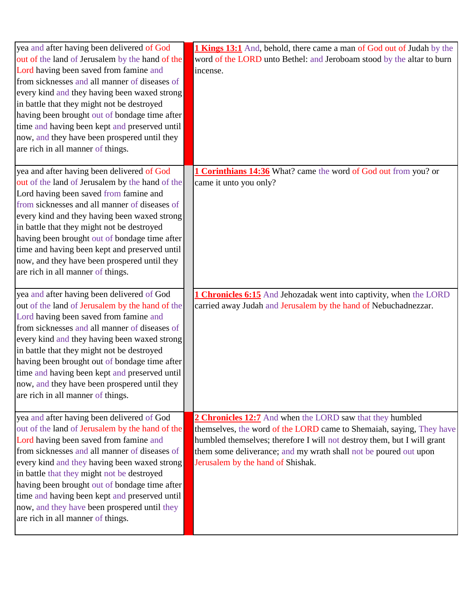| yea and after having been delivered of God                                                  | <b>1 Kings 13:1</b> And, behold, there came a man of God out of Judah by the |
|---------------------------------------------------------------------------------------------|------------------------------------------------------------------------------|
| out of the land of Jerusalem by the hand of the                                             | word of the LORD unto Bethel: and Jeroboam stood by the altar to burn        |
| Lord having been saved from famine and                                                      | incense.                                                                     |
| from sicknesses and all manner of diseases of                                               |                                                                              |
| every kind and they having been waxed strong                                                |                                                                              |
| in battle that they might not be destroyed                                                  |                                                                              |
| having been brought out of bondage time after                                               |                                                                              |
| time and having been kept and preserved until                                               |                                                                              |
| now, and they have been prospered until they                                                |                                                                              |
| are rich in all manner of things.                                                           |                                                                              |
|                                                                                             |                                                                              |
| yea and after having been delivered of God                                                  | 1 Corinthians 14:36 What? came the word of God out from you? or              |
| out of the land of Jerusalem by the hand of the                                             | came it unto you only?                                                       |
| Lord having been saved from famine and                                                      |                                                                              |
| from sicknesses and all manner of diseases of                                               |                                                                              |
| every kind and they having been waxed strong                                                |                                                                              |
| in battle that they might not be destroyed                                                  |                                                                              |
| having been brought out of bondage time after                                               |                                                                              |
| time and having been kept and preserved until                                               |                                                                              |
| now, and they have been prospered until they                                                |                                                                              |
| are rich in all manner of things.                                                           |                                                                              |
|                                                                                             |                                                                              |
| yea and after having been delivered of God                                                  | <b>1 Chronicles 6:15</b> And Jehozadak went into captivity, when the LORD    |
| out of the land of Jerusalem by the hand of the                                             | carried away Judah and Jerusalem by the hand of Nebuchadnezzar.              |
| Lord having been saved from famine and                                                      |                                                                              |
| from sicknesses and all manner of diseases of                                               |                                                                              |
| every kind and they having been waxed strong                                                |                                                                              |
| in battle that they might not be destroyed<br>having been brought out of bondage time after |                                                                              |
| time and having been kept and preserved until                                               |                                                                              |
|                                                                                             |                                                                              |
| now, and they have been prospered until they                                                |                                                                              |
| are rich in all manner of things.                                                           |                                                                              |
| yea and after having been delivered of God                                                  | 2 Chronicles 12:7 And when the LORD saw that they humbled                    |
| out of the land of Jerusalem by the hand of the                                             | themselves, the word of the LORD came to Shemaiah, saying, They have         |
| Lord having been saved from famine and                                                      | humbled themselves; therefore I will not destroy them, but I will grant      |
| from sicknesses and all manner of diseases of                                               | them some deliverance; and my wrath shall not be poured out upon             |
| every kind and they having been waxed strong                                                | Jerusalem by the hand of Shishak.                                            |
| in battle that they might not be destroyed                                                  |                                                                              |
| having been brought out of bondage time after                                               |                                                                              |
| time and having been kept and preserved until                                               |                                                                              |
| now, and they have been prospered until they                                                |                                                                              |
| are rich in all manner of things.                                                           |                                                                              |
|                                                                                             |                                                                              |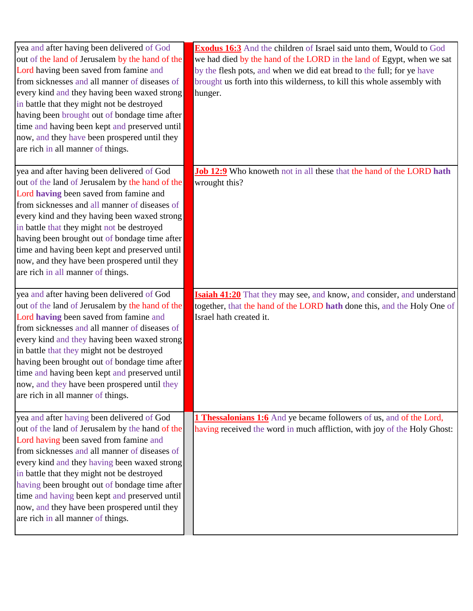| yea and after having been delivered of God<br>out of the land of Jerusalem by the hand of the<br>Lord having been saved from famine and<br>from sicknesses and all manner of diseases of<br>every kind and they having been waxed strong<br>in battle that they might not be destroyed<br>having been brought out of bondage time after<br>time and having been kept and preserved until<br>now, and they have been prospered until they<br>are rich in all manner of things. | <b>Exodus 16:3</b> And the children of Israel said unto them, Would to God<br>we had died by the hand of the LORD in the land of Egypt, when we sat<br>by the flesh pots, and when we did eat bread to the full; for ye have<br>brought us forth into this wilderness, to kill this whole assembly with<br>hunger. |
|-------------------------------------------------------------------------------------------------------------------------------------------------------------------------------------------------------------------------------------------------------------------------------------------------------------------------------------------------------------------------------------------------------------------------------------------------------------------------------|--------------------------------------------------------------------------------------------------------------------------------------------------------------------------------------------------------------------------------------------------------------------------------------------------------------------|
| yea and after having been delivered of God<br>out of the land of Jerusalem by the hand of the<br>Lord having been saved from famine and<br>from sicknesses and all manner of diseases of<br>every kind and they having been waxed strong<br>in battle that they might not be destroyed<br>having been brought out of bondage time after<br>time and having been kept and preserved until<br>now, and they have been prospered until they<br>are rich in all manner of things. | Job 12:9 Who knoweth not in all these that the hand of the LORD hath<br>wrought this?                                                                                                                                                                                                                              |
| yea and after having been delivered of God<br>out of the land of Jerusalem by the hand of the<br>Lord having been saved from famine and<br>from sicknesses and all manner of diseases of<br>every kind and they having been waxed strong<br>in battle that they might not be destroyed<br>having been brought out of bondage time after<br>time and having been kept and preserved until<br>now, and they have been prospered until they<br>are rich in all manner of things. | <b>Isaiah 41:20</b> That they may see, and know, and consider, and understand<br>together, that the hand of the LORD hath done this, and the Holy One of<br>Israel hath created it.                                                                                                                                |
| yea and after having been delivered of God<br>out of the land of Jerusalem by the hand of the<br>Lord having been saved from famine and<br>from sicknesses and all manner of diseases of<br>every kind and they having been waxed strong<br>in battle that they might not be destroyed<br>having been brought out of bondage time after<br>time and having been kept and preserved until<br>now, and they have been prospered until they<br>are rich in all manner of things. | <b>1 Thessalonians 1:6</b> And ye became followers of us, and of the Lord,<br>having received the word in much affliction, with joy of the Holy Ghost:                                                                                                                                                             |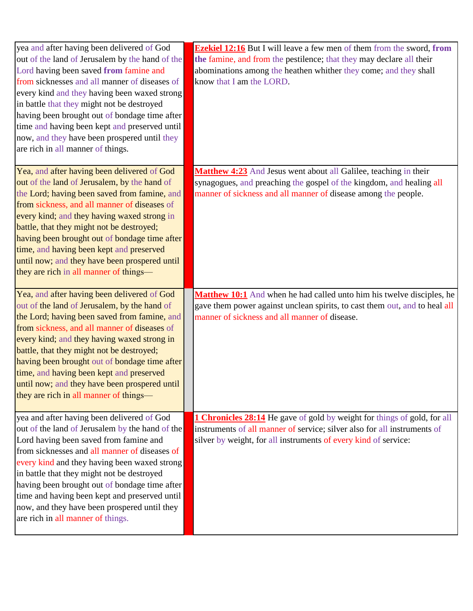| yea and after having been delivered of God                                        | <b>Ezekiel 12:16</b> But I will leave a few men of them from the sword, from    |
|-----------------------------------------------------------------------------------|---------------------------------------------------------------------------------|
| out of the land of Jerusalem by the hand of the                                   | the famine, and from the pestilence; that they may declare all their            |
| Lord having been saved from famine and                                            | abominations among the heathen whither they come; and they shall                |
| from sicknesses and all manner of diseases of                                     | know that I am the LORD.                                                        |
| every kind and they having been waxed strong                                      |                                                                                 |
| in battle that they might not be destroyed                                        |                                                                                 |
| having been brought out of bondage time after                                     |                                                                                 |
| time and having been kept and preserved until                                     |                                                                                 |
| now, and they have been prospered until they                                      |                                                                                 |
| are rich in all manner of things.                                                 |                                                                                 |
|                                                                                   |                                                                                 |
| Yea, and after having been delivered of God                                       | Matthew 4:23 And Jesus went about all Galilee, teaching in their                |
| out of the land of Jerusalem, by the hand of                                      | synagogues, and preaching the gospel of the kingdom, and healing all            |
| the Lord; having been saved from famine, and                                      | manner of sickness and all manner of disease among the people.                  |
| from sickness, and all manner of diseases of                                      |                                                                                 |
| every kind; and they having waxed strong in                                       |                                                                                 |
| battle, that they might not be destroyed;                                         |                                                                                 |
| having been brought out of bondage time after                                     |                                                                                 |
| time, and having been kept and preserved                                          |                                                                                 |
| until now; and they have been prospered until                                     |                                                                                 |
| they are rich in all manner of things—                                            |                                                                                 |
|                                                                                   |                                                                                 |
| Yea, and after having been delivered of God                                       | Matthew 10:1 And when he had called unto him his twelve disciples, he           |
| out of the land of Jerusalem, by the hand of                                      | gave them power against unclean spirits, to cast them out, and to heal all      |
| the Lord; having been saved from famine, and                                      | manner of sickness and all manner of disease.                                   |
| from sickness, and all manner of diseases of                                      |                                                                                 |
| every kind; and they having waxed strong in                                       |                                                                                 |
| battle, that they might not be destroyed;                                         |                                                                                 |
| having been brought out of bondage time after                                     |                                                                                 |
|                                                                                   |                                                                                 |
| time, and having been kept and preserved                                          |                                                                                 |
| until now; and they have been prospered until                                     |                                                                                 |
| they are rich in all manner of things—                                            |                                                                                 |
|                                                                                   |                                                                                 |
| yea and after having been delivered of God                                        | <b>1 Chronicles 28:14</b> He gave of gold by weight for things of gold, for all |
| out of the land of Jerusalem by the hand of the                                   | instruments of all manner of service; silver also for all instruments of        |
| Lord having been saved from famine and                                            | silver by weight, for all instruments of every kind of service:                 |
| from sicknesses and all manner of diseases of                                     |                                                                                 |
| every kind and they having been waxed strong                                      |                                                                                 |
| in battle that they might not be destroyed                                        |                                                                                 |
| having been brought out of bondage time after                                     |                                                                                 |
| time and having been kept and preserved until                                     |                                                                                 |
| now, and they have been prospered until they<br>are rich in all manner of things. |                                                                                 |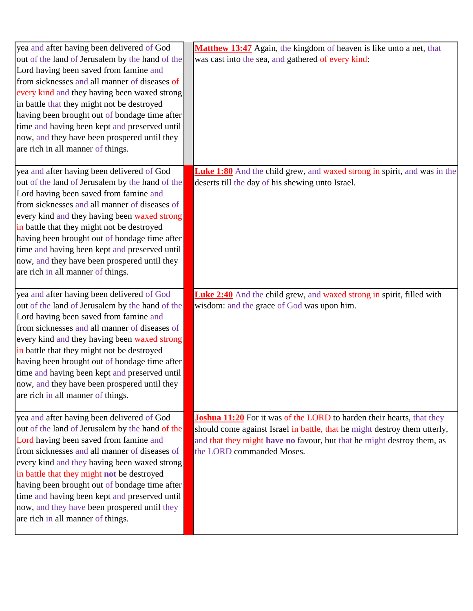| yea and after having been delivered of God      | Matthew 13:47 Again, the kingdom of heaven is like unto a net, that             |
|-------------------------------------------------|---------------------------------------------------------------------------------|
| out of the land of Jerusalem by the hand of the | was cast into the sea, and gathered of every kind:                              |
| Lord having been saved from famine and          |                                                                                 |
| from sicknesses and all manner of diseases of   |                                                                                 |
| every kind and they having been waxed strong    |                                                                                 |
| in battle that they might not be destroyed      |                                                                                 |
| having been brought out of bondage time after   |                                                                                 |
| time and having been kept and preserved until   |                                                                                 |
| now, and they have been prospered until they    |                                                                                 |
| are rich in all manner of things.               |                                                                                 |
|                                                 |                                                                                 |
| yea and after having been delivered of God      | <b>Luke 1:80</b> And the child grew, and waxed strong in spirit, and was in the |
| out of the land of Jerusalem by the hand of the | deserts till the day of his shewing unto Israel.                                |
| Lord having been saved from famine and          |                                                                                 |
| from sicknesses and all manner of diseases of   |                                                                                 |
| every kind and they having been waxed strong    |                                                                                 |
| in battle that they might not be destroyed      |                                                                                 |
| having been brought out of bondage time after   |                                                                                 |
| time and having been kept and preserved until   |                                                                                 |
| now, and they have been prospered until they    |                                                                                 |
| are rich in all manner of things.               |                                                                                 |
|                                                 |                                                                                 |
|                                                 |                                                                                 |
| yea and after having been delivered of God      | <b>Luke 2:40</b> And the child grew, and waxed strong in spirit, filled with    |
| out of the land of Jerusalem by the hand of the | wisdom: and the grace of God was upon him.                                      |
| Lord having been saved from famine and          |                                                                                 |
| from sicknesses and all manner of diseases of   |                                                                                 |
| every kind and they having been waxed strong    |                                                                                 |
| in battle that they might not be destroyed      |                                                                                 |
| having been brought out of bondage time after   |                                                                                 |
| time and having been kept and preserved until   |                                                                                 |
| now, and they have been prospered until they    |                                                                                 |
| are rich in all manner of things.               |                                                                                 |
|                                                 |                                                                                 |
| yea and after having been delivered of God      | <b>Joshua 11:20</b> For it was of the LORD to harden their hearts, that they    |
| out of the land of Jerusalem by the hand of the | should come against Israel in battle, that he might destroy them utterly,       |
| Lord having been saved from famine and          | and that they might have no favour, but that he might destroy them, as          |
| from sicknesses and all manner of diseases of   | the LORD commanded Moses.                                                       |
| every kind and they having been waxed strong    |                                                                                 |
| in battle that they might not be destroyed      |                                                                                 |
| having been brought out of bondage time after   |                                                                                 |
| time and having been kept and preserved until   |                                                                                 |
| now, and they have been prospered until they    |                                                                                 |
| are rich in all manner of things.               |                                                                                 |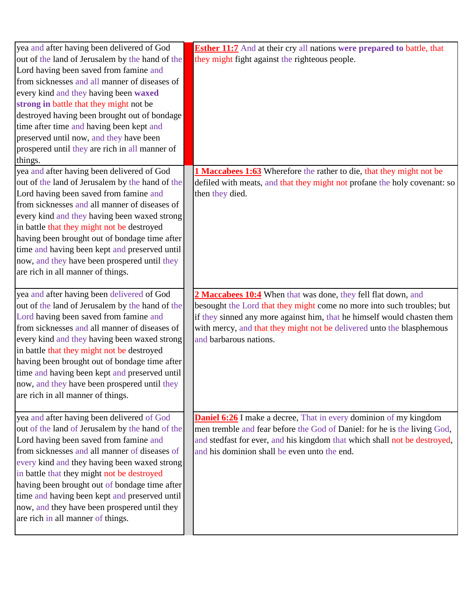| yea and after having been delivered of God                                              | <b>Esther 11:7</b> And at their cry all nations were prepared to battle, that                   |
|-----------------------------------------------------------------------------------------|-------------------------------------------------------------------------------------------------|
| out of the land of Jerusalem by the hand of the                                         | they might fight against the righteous people.                                                  |
| Lord having been saved from famine and                                                  |                                                                                                 |
| from sicknesses and all manner of diseases of                                           |                                                                                                 |
| every kind and they having been waxed                                                   |                                                                                                 |
| strong in battle that they might not be                                                 |                                                                                                 |
| destroyed having been brought out of bondage                                            |                                                                                                 |
| time after time and having been kept and                                                |                                                                                                 |
| preserved until now, and they have been                                                 |                                                                                                 |
| prospered until they are rich in all manner of                                          |                                                                                                 |
| things.                                                                                 |                                                                                                 |
| yea and after having been delivered of God                                              | 1 Maccabees 1:63 Wherefore the rather to die, that they might not be                            |
| out of the land of Jerusalem by the hand of the                                         | defiled with meats, and that they might not profane the holy covenant: so                       |
| Lord having been saved from famine and                                                  | then they died.                                                                                 |
| from sicknesses and all manner of diseases of                                           |                                                                                                 |
| every kind and they having been waxed strong                                            |                                                                                                 |
| in battle that they might not be destroyed                                              |                                                                                                 |
| having been brought out of bondage time after                                           |                                                                                                 |
| time and having been kept and preserved until                                           |                                                                                                 |
| now, and they have been prospered until they                                            |                                                                                                 |
| are rich in all manner of things.                                                       |                                                                                                 |
|                                                                                         |                                                                                                 |
| yea and after having been delivered of God                                              | 2 Maccabees 10:4 When that was done, they fell flat down, and                                   |
| out of the land of Jerusalem by the hand of the                                         | besought the Lord that they might come no more into such troubles; but                          |
| Lord having been saved from famine and<br>from sicknesses and all manner of diseases of | if they sinned any more against him, that he himself would chasten them                         |
| every kind and they having been waxed strong                                            | with mercy, and that they might not be delivered unto the blasphemous<br>and barbarous nations. |
| in battle that they might not be destroyed                                              |                                                                                                 |
| having been brought out of bondage time after                                           |                                                                                                 |
| time and having been kept and preserved until                                           |                                                                                                 |
| now, and they have been prospered until they                                            |                                                                                                 |
| are rich in all manner of things.                                                       |                                                                                                 |
|                                                                                         |                                                                                                 |
| yea and after having been delivered of God                                              | <b>Daniel 6:26</b> I make a decree, That in every dominion of my kingdom                        |
| out of the land of Jerusalem by the hand of the                                         | men tremble and fear before the God of Daniel: for he is the living God,                        |
| Lord having been saved from famine and                                                  | and stedfast for ever, and his kingdom that which shall not be destroyed,                       |
| from sicknesses and all manner of diseases of                                           | and his dominion shall be even unto the end.                                                    |
| every kind and they having been waxed strong                                            |                                                                                                 |
| in battle that they might not be destroyed                                              |                                                                                                 |
| having been brought out of bondage time after                                           |                                                                                                 |
| time and having been kept and preserved until                                           |                                                                                                 |
| now, and they have been prospered until they                                            |                                                                                                 |
| are rich in all manner of things.                                                       |                                                                                                 |
|                                                                                         |                                                                                                 |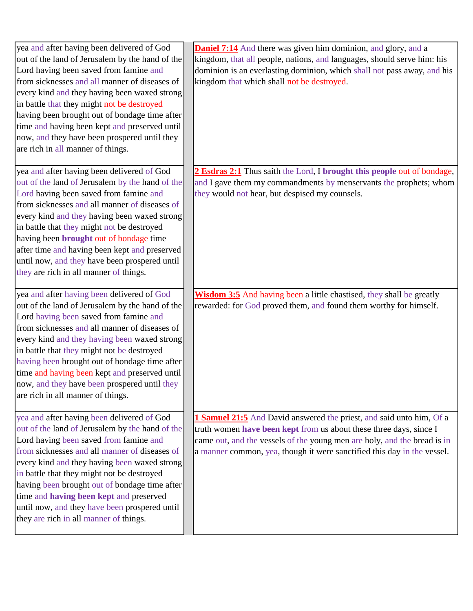| yea and after having been delivered of God<br>out of the land of Jerusalem by the hand of the<br>Lord having been saved from famine and<br>from sicknesses and all manner of diseases of<br>every kind and they having been waxed strong<br>in battle that they might not be destroyed<br>having been brought out of bondage time after<br>time and having been kept and preserved until<br>now, and they have been prospered until they<br>are rich in all manner of things. | <b>Daniel 7:14</b> And there was given him dominion, and glory, and a<br>kingdom, that all people, nations, and languages, should serve him: his<br>dominion is an everlasting dominion, which shall not pass away, and his<br>kingdom that which shall not be destroyed.                         |
|-------------------------------------------------------------------------------------------------------------------------------------------------------------------------------------------------------------------------------------------------------------------------------------------------------------------------------------------------------------------------------------------------------------------------------------------------------------------------------|---------------------------------------------------------------------------------------------------------------------------------------------------------------------------------------------------------------------------------------------------------------------------------------------------|
| yea and after having been delivered of God<br>out of the land of Jerusalem by the hand of the<br>Lord having been saved from famine and<br>from sicknesses and all manner of diseases of<br>every kind and they having been waxed strong<br>in battle that they might not be destroyed<br>having been brought out of bondage time<br>after time and having been kept and preserved<br>until now, and they have been prospered until<br>they are rich in all manner of things. | 2 Esdras 2:1 Thus saith the Lord, I brought this people out of bondage,<br>and I gave them my commandments by menservants the prophets; whom<br>they would not hear, but despised my counsels.                                                                                                    |
| yea and after having been delivered of God<br>out of the land of Jerusalem by the hand of the<br>Lord having been saved from famine and<br>from sicknesses and all manner of diseases of<br>every kind and they having been waxed strong<br>in battle that they might not be destroyed<br>having been brought out of bondage time after<br>time and having been kept and preserved until<br>now, and they have been prospered until they<br>are rich in all manner of things. | <b>Wisdom 3:5</b> And having been a little chastised, they shall be greatly<br>rewarded: for God proved them, and found them worthy for himself.                                                                                                                                                  |
| yea and after having been delivered of God<br>out of the land of Jerusalem by the hand of the<br>Lord having been saved from famine and<br>from sicknesses and all manner of diseases of<br>every kind and they having been waxed strong<br>in battle that they might not be destroyed<br>having been brought out of bondage time after<br>time and having been kept and preserved<br>until now, and they have been prospered until<br>they are rich in all manner of things. | 1 Samuel 21:5 And David answered the priest, and said unto him, Of a<br>truth women have been kept from us about these three days, since I<br>came out, and the vessels of the young men are holy, and the bread is in<br>a manner common, yea, though it were sanctified this day in the vessel. |